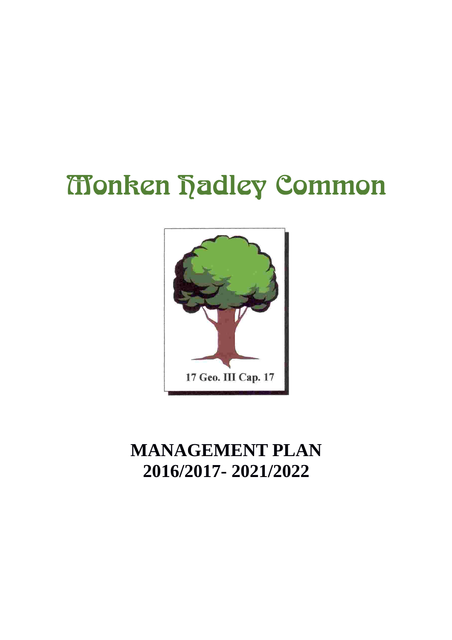# **Monken hadley Common**



# **MANAGEMENT PLAN 2016/2017- 2021/2022**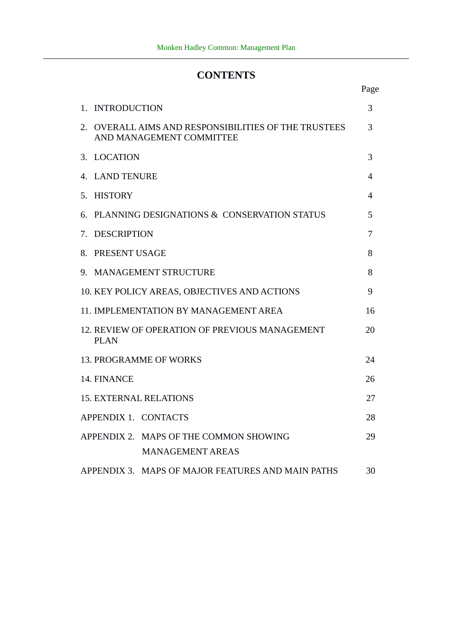# **CONTENTS**

|                                                                                  | Page |  |  |
|----------------------------------------------------------------------------------|------|--|--|
| <b>INTRODUCTION</b><br>1.                                                        | 3    |  |  |
| 2. OVERALL AIMS AND RESPONSIBILITIES OF THE TRUSTEES<br>AND MANAGEMENT COMMITTEE | 3    |  |  |
| 3. LOCATION                                                                      | 3    |  |  |
| 4. LAND TENURE                                                                   | 4    |  |  |
| 5. HISTORY                                                                       | 4    |  |  |
| PLANNING DESIGNATIONS & CONSERVATION STATUS<br>6.                                | 5    |  |  |
| <b>DESCRIPTION</b><br>7.                                                         | 7    |  |  |
| 8. PRESENT USAGE                                                                 | 8    |  |  |
| 9. MANAGEMENT STRUCTURE                                                          | 8    |  |  |
| 10. KEY POLICY AREAS, OBJECTIVES AND ACTIONS                                     | 9    |  |  |
| 11. IMPLEMENTATION BY MANAGEMENT AREA                                            | 16   |  |  |
| 12. REVIEW OF OPERATION OF PREVIOUS MANAGEMENT<br>20<br><b>PLAN</b>              |      |  |  |
| <b>13. PROGRAMME OF WORKS</b>                                                    | 24   |  |  |
| 14. FINANCE                                                                      | 26   |  |  |
| <b>15. EXTERNAL RELATIONS</b>                                                    | 27   |  |  |
| APPENDIX 1. CONTACTS                                                             | 28   |  |  |
| APPENDIX 2. MAPS OF THE COMMON SHOWING<br><b>MANAGEMENT AREAS</b>                | 29   |  |  |
| APPENDIX 3. MAPS OF MAJOR FEATURES AND MAIN PATHS                                | 30   |  |  |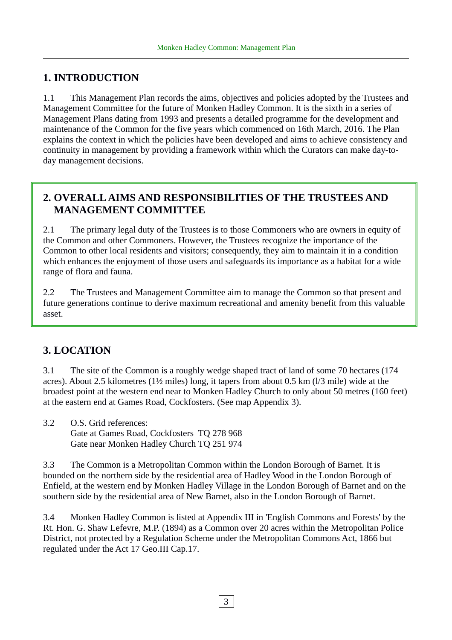# **1. INTRODUCTION**

1.1 This Management Plan records the aims, objectives and policies adopted by the Trustees and Management Committee for the future of Monken Hadley Common. It is the sixth in a series of Management Plans dating from 1993 and presents a detailed programme for the development and maintenance of the Common for the five years which commenced on 16th March, 2016. The Plan explains the context in which the policies have been developed and aims to achieve consistency and continuity in management by providing a framework within which the Curators can make day-today management decisions.

# **2. OVERALL AIMS AND RESPONSIBILITIES OF THE TRUSTEES AND MANAGEMENT COMMITTEE**

2.1 The primary legal duty of the Trustees is to those Commoners who are owners in equity of the Common and other Commoners. However, the Trustees recognize the importance of the Common to other local residents and visitors; consequently, they aim to maintain it in a condition which enhances the enjoyment of those users and safeguards its importance as a habitat for a wide range of flora and fauna.

2.2 The Trustees and Management Committee aim to manage the Common so that present and future generations continue to derive maximum recreational and amenity benefit from this valuable asset.

# **3. LOCATION**

3.1 The site of the Common is a roughly wedge shaped tract of land of some 70 hectares (174 acres). About 2.5 kilometres (1½ miles) long, it tapers from about 0.5 km (l/3 mile) wide at the broadest point at the western end near to Monken Hadley Church to only about 50 metres (160 feet) at the eastern end at Games Road, Cockfosters. (See map Appendix 3).

3.2 O.S. Grid references: Gate at Games Road, Cockfosters TQ 278 968 Gate near Monken Hadley Church TQ 251 974

3.3 The Common is a Metropolitan Common within the London Borough of Barnet. It is bounded on the northern side by the residential area of Hadley Wood in the London Borough of Enfield, at the western end by Monken Hadley Village in the London Borough of Barnet and on the southern side by the residential area of New Barnet, also in the London Borough of Barnet.

3.4 Monken Hadley Common is listed at Appendix III in 'English Commons and Forests' by the Rt. Hon. G. Shaw Lefevre, M.P. (1894) as a Common over 20 acres within the Metropolitan Police District, not protected by a Regulation Scheme under the Metropolitan Commons Act, 1866 but regulated under the Act 17 Geo.III Cap.17.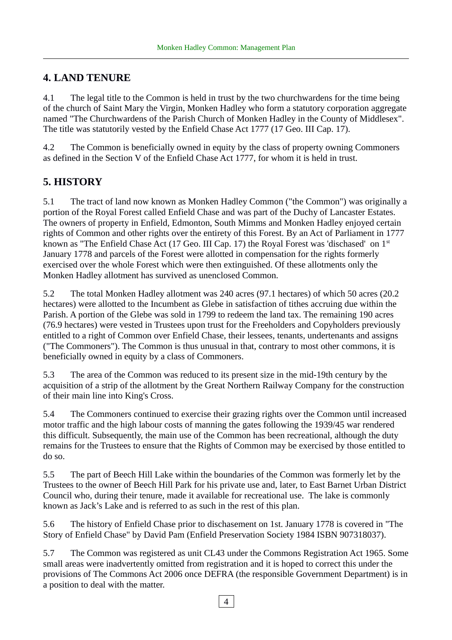# **4. LAND TENURE**

4.1 The legal title to the Common is held in trust by the two churchwardens for the time being of the church of Saint Mary the Virgin, Monken Hadley who form a statutory corporation aggregate named "The Churchwardens of the Parish Church of Monken Hadley in the County of Middlesex". The title was statutorily vested by the Enfield Chase Act 1777 (17 Geo. III Cap. 17).

4.2 The Common is beneficially owned in equity by the class of property owning Commoners as defined in the Section V of the Enfield Chase Act 1777, for whom it is held in trust.

# **5. HISTORY**

5.1 The tract of land now known as Monken Hadley Common ("the Common") was originally a portion of the Royal Forest called Enfield Chase and was part of the Duchy of Lancaster Estates. The owners of property in Enfield, Edmonton, South Mimms and Monken Hadley enjoyed certain rights of Common and other rights over the entirety of this Forest. By an Act of Parliament in 1777 known as "The Enfield Chase Act (17 Geo. III Cap. 17) the Royal Forest was 'dischased' on 1<sup>st</sup> January 1778 and parcels of the Forest were allotted in compensation for the rights formerly exercised over the whole Forest which were then extinguished. Of these allotments only the Monken Hadley allotment has survived as unenclosed Common.

5.2 The total Monken Hadley allotment was 240 acres (97.1 hectares) of which 50 acres (20.2 hectares) were allotted to the Incumbent as Glebe in satisfaction of tithes accruing due within the Parish. A portion of the Glebe was sold in 1799 to redeem the land tax. The remaining 190 acres (76.9 hectares) were vested in Trustees upon trust for the Freeholders and Copyholders previously entitled to a right of Common over Enfield Chase, their lessees, tenants, undertenants and assigns ("The Commoners"). The Common is thus unusual in that, contrary to most other commons, it is beneficially owned in equity by a class of Commoners.

5.3 The area of the Common was reduced to its present size in the mid-19th century by the acquisition of a strip of the allotment by the Great Northern Railway Company for the construction of their main line into King's Cross.

5.4 The Commoners continued to exercise their grazing rights over the Common until increased motor traffic and the high labour costs of manning the gates following the 1939/45 war rendered this difficult. Subsequently, the main use of the Common has been recreational, although the duty remains for the Trustees to ensure that the Rights of Common may be exercised by those entitled to do so.

5.5 The part of Beech Hill Lake within the boundaries of the Common was formerly let by the Trustees to the owner of Beech Hill Park for his private use and, later, to East Barnet Urban District Council who, during their tenure, made it available for recreational use. The lake is commonly known as Jack's Lake and is referred to as such in the rest of this plan.

5.6 The history of Enfield Chase prior to dischasement on 1st. January 1778 is covered in "The Story of Enfield Chase" by David Pam (Enfield Preservation Society 1984 ISBN 907318037).

5.7 The Common was registered as unit CL43 under the Commons Registration Act 1965. Some small areas were inadvertently omitted from registration and it is hoped to correct this under the provisions of The Commons Act 2006 once DEFRA (the responsible Government Department) is in a position to deal with the matter.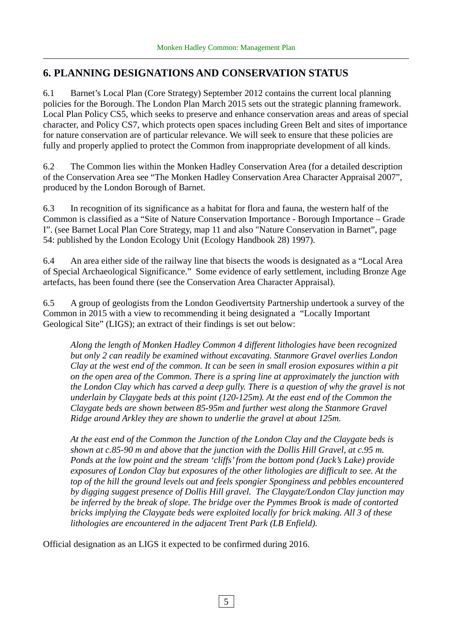# **6. PLANNING DESIGNATIONS AND CONSERVATION STATUS**

6.1 Barnet's Local Plan (Core Strategy) September 2012 contains the current local planning policies for the Borough. The London Plan March 2015 sets out the strategic planning framework. Local Plan Policy CS5, which seeks to preserve and enhance conservation areas and areas of special character, and Policy CS7, which protects open spaces including Green Belt and sites of importance for nature conservation are of particular relevance. We will seek to ensure that these policies are fully and properly applied to protect the Common from inappropriate development of all kinds.

6.2 The Common lies within the Monken Hadley Conservation Area (for a detailed description of the Conservation Area see "The Monken Hadley Conservation Area Character Appraisal 2007", produced by the London Borough of Barnet.

6.3 In recognition of its significance as a habitat for flora and fauna, the western half of the Common is classified as a "Site of Nature Conservation Importance - Borough Importance – Grade I". (see Barnet Local Plan Core Strategy, map 11 and also "Nature Conservation in Barnet", page 54: published by the London Ecology Unit (Ecology Handbook 28) 1997).

6.4 An area either side of the railway line that bisects the woods is designated as a "Local Area of Special Archaeological Significance." Some evidence of early settlement, including Bronze Age artefacts, has been found there (see the Conservation Area Character Appraisal).

6.5 A group of geologists from the London Geodivertsity Partnership undertook a survey of the Common in 2015 with a view to recommending it being designated a "Locally Important Geological Site" (LIGS); an extract of their findings is set out below:

*Along the length of Monken Hadley Common 4 different lithologies have been recognized but only 2 can readily be examined without excavating. Stanmore Gravel overlies London Clay at the west end of the common. It can be seen in small erosion exposures within a pit on the open area of the Common. There is a spring line at approximately the junction with the London Clay which has carved a deep gully. There is a question of why the gravel is not underlain by Claygate beds at this point (120-125m). At the east end of the Common the Claygate beds are shown between 85-95m and further west along the Stanmore Gravel Ridge around Arkley they are shown to underlie the gravel at about 125m.*

*At the east end of the Common the Junction of the London Clay and the Claygate beds is shown at c.85-90 m and above that the junction with the Dollis Hill Gravel, at c.95 m. Ponds at the low point and the stream 'cliffs' from the bottom pond (Jack's Lake) provide exposures of London Clay but exposures of the other lithologies are difficult to see. At the top of the hill the ground levels out and feels spongier Sponginess and pebbles encountered by digging suggest presence of Dollis Hill gravel. The Claygate/London Clay junction may be inferred by the break of slope. The bridge over the Pymmes Brook is made of contorted bricks implying the Claygate beds were exploited locally for brick making. All 3 of these lithologies are encountered in the adjacent Trent Park (LB Enfield).*

Official designation as an LIGS it expected to be confirmed during 2016.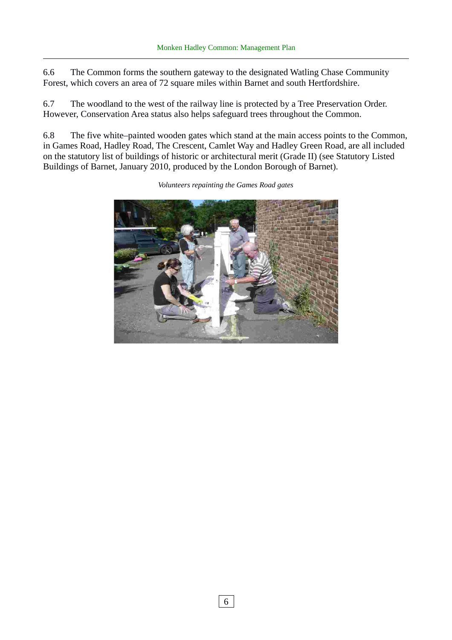6.6 The Common forms the southern gateway to the designated Watling Chase Community Forest, which covers an area of 72 square miles within Barnet and south Hertfordshire.

6.7 The woodland to the west of the railway line is protected by a Tree Preservation Order. However, Conservation Area status also helps safeguard trees throughout the Common.

6.8 The five white–painted wooden gates which stand at the main access points to the Common, in Games Road, Hadley Road, The Crescent, Camlet Way and Hadley Green Road, are all included on the statutory list of buildings of historic or architectural merit (Grade II) (see Statutory Listed Buildings of Barnet, January 2010, produced by the London Borough of Barnet).



*Volunteers repainting the Games Road gates*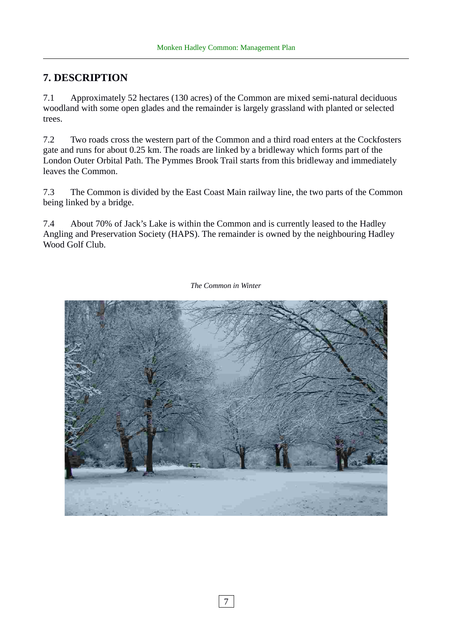# **7. DESCRIPTION**

7.1 Approximately 52 hectares (130 acres) of the Common are mixed semi-natural deciduous woodland with some open glades and the remainder is largely grassland with planted or selected trees.

7.2 Two roads cross the western part of the Common and a third road enters at the Cockfosters gate and runs for about 0.25 km. The roads are linked by a bridleway which forms part of the London Outer Orbital Path. The Pymmes Brook Trail starts from this bridleway and immediately leaves the Common.

7.3 The Common is divided by the East Coast Main railway line, the two parts of the Common being linked by a bridge.

7.4 About 70% of Jack's Lake is within the Common and is currently leased to the Hadley Angling and Preservation Society (HAPS). The remainder is owned by the neighbouring Hadley Wood Golf Club.



*The Common in Winter*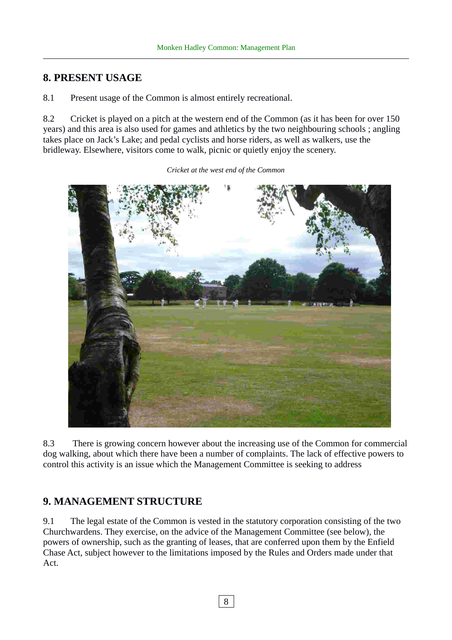### **8. PRESENT USAGE**

8.1 Present usage of the Common is almost entirely recreational.

8.2 Cricket is played on a pitch at the western end of the Common (as it has been for over 150 years) and this area is also used for games and athletics by the two neighbouring schools ; angling takes place on Jack's Lake; and pedal cyclists and horse riders, as well as walkers, use the bridleway. Elsewhere, visitors come to walk, picnic or quietly enjoy the scenery.

*Cricket at the west end of the Common*

8.3 There is growing concern however about the increasing use of the Common for commercial dog walking, about which there have been a number of complaints. The lack of effective powers to control this activity is an issue which the Management Committee is seeking to address

#### **9. MANAGEMENT STRUCTURE**

9.1 The legal estate of the Common is vested in the statutory corporation consisting of the two Churchwardens. They exercise, on the advice of the Management Committee (see below), the powers of ownership, such as the granting of leases, that are conferred upon them by the Enfield Chase Act, subject however to the limitations imposed by the Rules and Orders made under that Act.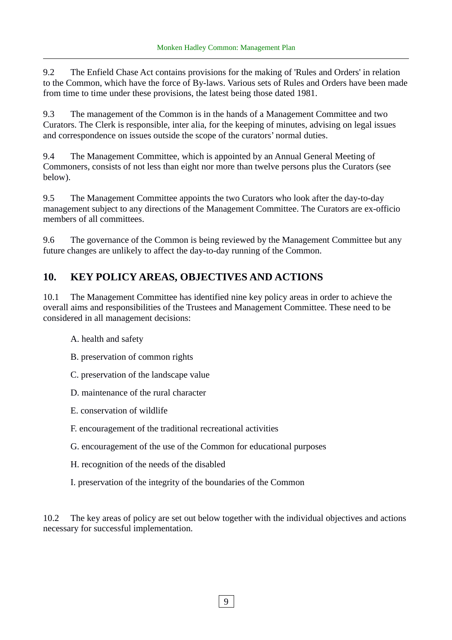9.2 The Enfield Chase Act contains provisions for the making of 'Rules and Orders' in relation to the Common, which have the force of By-laws. Various sets of Rules and Orders have been made from time to time under these provisions, the latest being those dated 1981.

9.3 The management of the Common is in the hands of a Management Committee and two Curators. The Clerk is responsible, inter alia, for the keeping of minutes, advising on legal issues and correspondence on issues outside the scope of the curators' normal duties.

9.4 The Management Committee, which is appointed by an Annual General Meeting of Commoners, consists of not less than eight nor more than twelve persons plus the Curators (see below).

9.5 The Management Committee appoints the two Curators who look after the day-to-day management subject to any directions of the Management Committee. The Curators are ex-officio members of all committees.

9.6 The governance of the Common is being reviewed by the Management Committee but any future changes are unlikely to affect the day-to-day running of the Common.

# **10. KEY POLICY AREAS, OBJECTIVES AND ACTIONS**

10.1 The Management Committee has identified nine key policy areas in order to achieve the overall aims and responsibilities of the Trustees and Management Committee. These need to be considered in all management decisions:

- A. health and safety
- B. preservation of common rights
- C. preservation of the landscape value
- D. maintenance of the rural character
- E. conservation of wildlife
- F. encouragement of the traditional recreational activities
- G. encouragement of the use of the Common for educational purposes
- H. recognition of the needs of the disabled
- I. preservation of the integrity of the boundaries of the Common

10.2 The key areas of policy are set out below together with the individual objectives and actions necessary for successful implementation.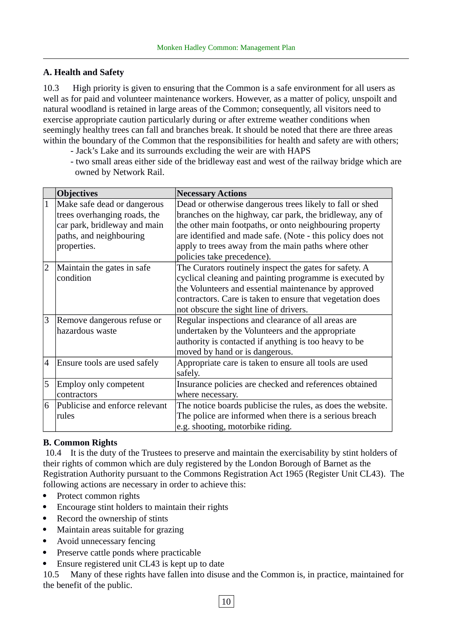#### **A. Health and Safety**

10.3 High priority is given to ensuring that the Common is a safe environment for all users as well as for paid and volunteer maintenance workers. However, as a matter of policy, unspoilt and natural woodland is retained in large areas of the Common; consequently, all visitors need to exercise appropriate caution particularly during or after extreme weather conditions when seemingly healthy trees can fall and branches break. It should be noted that there are three areas within the boundary of the Common that the responsibilities for health and safety are with others;

- Jack's Lake and its surrounds excluding the weir are with HAPS
- two small areas either side of the bridleway east and west of the railway bridge which are owned by Network Rail.

|                | <b>Objectives</b>              | <b>Necessary Actions</b>                                    |
|----------------|--------------------------------|-------------------------------------------------------------|
| $\mathbf{1}$   | Make safe dead or dangerous    | Dead or otherwise dangerous trees likely to fall or shed    |
|                | trees overhanging roads, the   | branches on the highway, car park, the bridleway, any of    |
|                | car park, bridleway and main   | the other main footpaths, or onto neighbouring property     |
|                | paths, and neighbouring        | are identified and made safe. (Note - this policy does not  |
|                | properties.                    | apply to trees away from the main paths where other         |
|                |                                | policies take precedence).                                  |
| $\overline{2}$ | Maintain the gates in safe     | The Curators routinely inspect the gates for safety. A      |
|                | condition                      | cyclical cleaning and painting programme is executed by     |
|                |                                | the Volunteers and essential maintenance by approved        |
|                |                                | contractors. Care is taken to ensure that vegetation does   |
|                |                                | not obscure the sight line of drivers.                      |
| 3              | Remove dangerous refuse or     | Regular inspections and clearance of all areas are          |
|                | hazardous waste                | undertaken by the Volunteers and the appropriate            |
|                |                                | authority is contacted if anything is too heavy to be       |
|                |                                | moved by hand or is dangerous.                              |
| 4              | Ensure tools are used safely   | Appropriate care is taken to ensure all tools are used      |
|                |                                | safely.                                                     |
| 5              | Employ only competent          | Insurance policies are checked and references obtained      |
|                | contractors                    | where necessary.                                            |
| 6              | Publicise and enforce relevant | The notice boards publicise the rules, as does the website. |
|                | rules                          | The police are informed when there is a serious breach      |
|                |                                | e.g. shooting, motorbike riding.                            |

#### **B. Common Rights**

 10.4 It is the duty of the Trustees to preserve and maintain the exercisability by stint holders of their rights of common which are duly registered by the London Borough of Barnet as the Registration Authority pursuant to the Commons Registration Act 1965 (Register Unit CL43). The following actions are necessary in order to achieve this:

- Protect common rights
- Encourage stint holders to maintain their rights
- Record the ownership of stints
- Maintain areas suitable for grazing
- Avoid unnecessary fencing
- Preserve cattle ponds where practicable
- Ensure registered unit CL43 is kept up to date

10.5 Many of these rights have fallen into disuse and the Common is, in practice, maintained for the benefit of the public.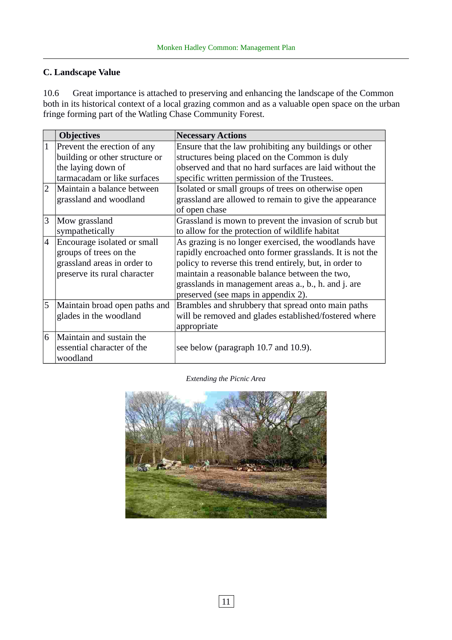#### **C. Landscape Value**

10.6 Great importance is attached to preserving and enhancing the landscape of the Common both in its historical context of a local grazing common and as a valuable open space on the urban fringe forming part of the Watling Chase Community Forest.

|                | <b>Objectives</b>              | <b>Necessary Actions</b>                                 |
|----------------|--------------------------------|----------------------------------------------------------|
|                | Prevent the erection of any    | Ensure that the law prohibiting any buildings or other   |
|                | building or other structure or | structures being placed on the Common is duly            |
|                | the laying down of             | observed and that no hard surfaces are laid without the  |
|                | tarmacadam or like surfaces    | specific written permission of the Trustees.             |
| $\overline{2}$ | Maintain a balance between     | Isolated or small groups of trees on otherwise open      |
|                | grassland and woodland         | grassland are allowed to remain to give the appearance   |
|                |                                | of open chase                                            |
| 3              | Mow grassland                  | Grassland is mown to prevent the invasion of scrub but   |
|                | sympathetically                | to allow for the protection of wildlife habitat          |
| $\overline{4}$ | Encourage isolated or small    | As grazing is no longer exercised, the woodlands have    |
|                | groups of trees on the         | rapidly encroached onto former grasslands. It is not the |
|                | grassland areas in order to    | policy to reverse this trend entirely, but, in order to  |
|                | preserve its rural character   | maintain a reasonable balance between the two,           |
|                |                                | grasslands in management areas a., b., h. and j. are     |
|                |                                | preserved (see maps in appendix 2).                      |
| 5              | Maintain broad open paths and  | Brambles and shrubbery that spread onto main paths       |
|                | glades in the woodland         | will be removed and glades established/fostered where    |
|                |                                | appropriate                                              |
| 6              | Maintain and sustain the       |                                                          |
|                | essential character of the     | see below (paragraph 10.7 and 10.9).                     |
|                | woodland                       |                                                          |

*Extending the Picnic Area*

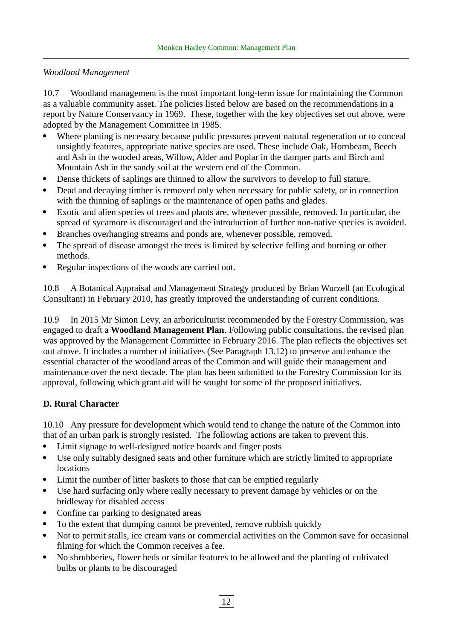#### *Woodland Management*

10.7 Woodland management is the most important long-term issue for maintaining the Common as a valuable community asset. The policies listed below are based on the recommendations in a report by Nature Conservancy in 1969. These, together with the key objectives set out above, were adopted by the Management Committee in 1985.

- Where planting is necessary because public pressures prevent natural regeneration or to conceal unsightly features, appropriate native species are used. These include Oak, Hornbeam, Beech and Ash in the wooded areas, Willow, Alder and Poplar in the damper parts and Birch and Mountain Ash in the sandy soil at the western end of the Common.
- Dense thickets of saplings are thinned to allow the survivors to develop to full stature.
- Dead and decaying timber is removed only when necessary for public safety, or in connection with the thinning of saplings or the maintenance of open paths and glades.
- Exotic and alien species of trees and plants are, whenever possible, removed. In particular, the spread of sycamore is discouraged and the introduction of further non-native species is avoided.
- Branches overhanging streams and ponds are, whenever possible, removed.
- The spread of disease amongst the trees is limited by selective felling and burning or other methods.
- Regular inspections of the woods are carried out.

10.8 A Botanical Appraisal and Management Strategy produced by Brian Wurzell (an Ecological Consultant) in February 2010, has greatly improved the understanding of current conditions.

10.9 In 2015 Mr Simon Levy, an arboriculturist recommended by the Forestry Commission, was engaged to draft a **Woodland Management Plan**. Following public consultations, the revised plan was approved by the Management Committee in February 2016. The plan reflects the objectives set out above. It includes a number of initiatives (See Paragraph 13.12) to preserve and enhance the essential character of the woodland areas of the Common and will guide their management and maintenance over the next decade. The plan has been submitted to the Forestry Commission for its approval, following which grant aid will be sought for some of the proposed initiatives.

#### **D. Rural Character**

10.10 Any pressure for development which would tend to change the nature of the Common into that of an urban park is strongly resisted. The following actions are taken to prevent this.

- Limit signage to well-designed notice boards and finger posts
- Use only suitably designed seats and other furniture which are strictly limited to appropriate locations
- Limit the number of litter baskets to those that can be emptied regularly
- Use hard surfacing only where really necessary to prevent damage by vehicles or on the bridleway for disabled access
- Confine car parking to designated areas
- To the extent that dumping cannot be prevented, remove rubbish quickly
- Not to permit stalls, ice cream vans or commercial activities on the Common save for occasional filming for which the Common receives a fee.
- No shrubberies, flower beds or similar features to be allowed and the planting of cultivated bulbs or plants to be discouraged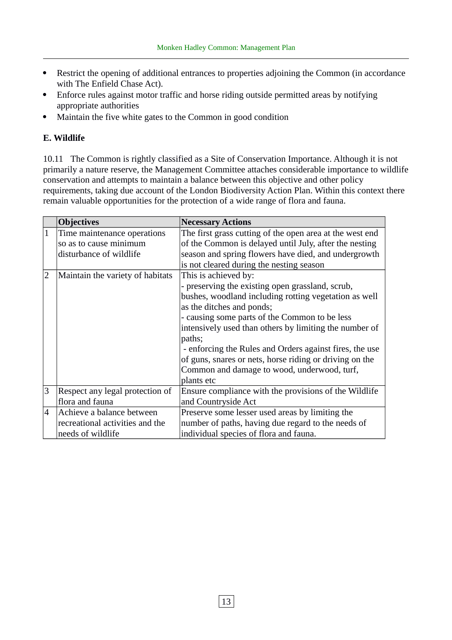- Restrict the opening of additional entrances to properties adjoining the Common (in accordance with The Enfield Chase Act).
- Enforce rules against motor traffic and horse riding outside permitted areas by notifying appropriate authorities
- Maintain the five white gates to the Common in good condition

#### **E. Wildlife**

10.11 The Common is rightly classified as a Site of Conservation Importance. Although it is not primarily a nature reserve, the Management Committee attaches considerable importance to wildlife conservation and attempts to maintain a balance between this objective and other policy requirements, taking due account of the London Biodiversity Action Plan. Within this context there remain valuable opportunities for the protection of a wide range of flora and fauna.

|                | <b>Objectives</b>                                                                 | <b>Necessary Actions</b>                                                                                                                                                                                                                                                                                                                                                                                                                                               |
|----------------|-----------------------------------------------------------------------------------|------------------------------------------------------------------------------------------------------------------------------------------------------------------------------------------------------------------------------------------------------------------------------------------------------------------------------------------------------------------------------------------------------------------------------------------------------------------------|
|                | Time maintenance operations<br>so as to cause minimum<br>disturbance of wildlife  | The first grass cutting of the open area at the west end<br>of the Common is delayed until July, after the nesting<br>season and spring flowers have died, and undergrowth<br>is not cleared during the nesting season                                                                                                                                                                                                                                                 |
| $\overline{2}$ | Maintain the variety of habitats                                                  | This is achieved by:<br>- preserving the existing open grassland, scrub,<br>bushes, woodland including rotting vegetation as well<br>as the ditches and ponds;<br>- causing some parts of the Common to be less<br>intensively used than others by limiting the number of<br>paths;<br>- enforcing the Rules and Orders against fires, the use<br>of guns, snares or nets, horse riding or driving on the<br>Common and damage to wood, underwood, turf,<br>plants etc |
| 3              | Respect any legal protection of<br>flora and fauna                                | Ensure compliance with the provisions of the Wildlife<br>and Countryside Act                                                                                                                                                                                                                                                                                                                                                                                           |
| $\overline{4}$ | Achieve a balance between<br>recreational activities and the<br>needs of wildlife | Preserve some lesser used areas by limiting the<br>number of paths, having due regard to the needs of<br>individual species of flora and fauna.                                                                                                                                                                                                                                                                                                                        |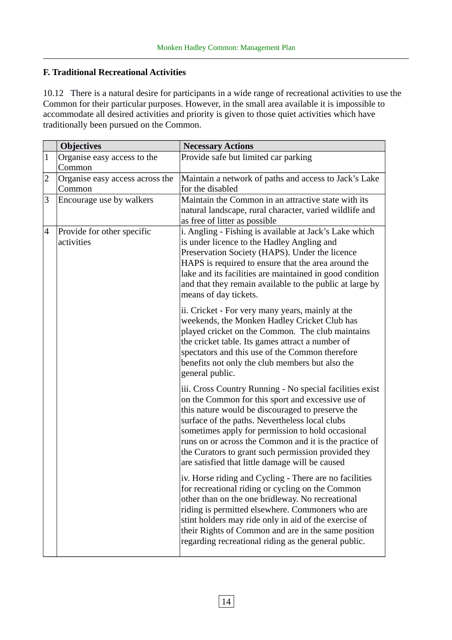#### **F. Traditional Recreational Activities**

10.12 There is a natural desire for participants in a wide range of recreational activities to use the Common for their particular purposes. However, in the small area available it is impossible to accommodate all desired activities and priority is given to those quiet activities which have traditionally been pursued on the Common.

|                | <b>Objectives</b>                         | <b>Necessary Actions</b>                                                                                                                                                                                                                                                                                                                                                                                                                     |
|----------------|-------------------------------------------|----------------------------------------------------------------------------------------------------------------------------------------------------------------------------------------------------------------------------------------------------------------------------------------------------------------------------------------------------------------------------------------------------------------------------------------------|
| $\mathbf{1}$   | Organise easy access to the<br>Common     | Provide safe but limited car parking                                                                                                                                                                                                                                                                                                                                                                                                         |
| $\overline{2}$ | Organise easy access across the<br>Common | Maintain a network of paths and access to Jack's Lake<br>for the disabled                                                                                                                                                                                                                                                                                                                                                                    |
| 3              | Encourage use by walkers                  | Maintain the Common in an attractive state with its<br>natural landscape, rural character, varied wildlife and<br>as free of litter as possible                                                                                                                                                                                                                                                                                              |
| 4              | Provide for other specific<br>activities  | i. Angling - Fishing is available at Jack's Lake which<br>is under licence to the Hadley Angling and<br>Preservation Society (HAPS). Under the licence<br>HAPS is required to ensure that the area around the<br>lake and its facilities are maintained in good condition<br>and that they remain available to the public at large by<br>means of day tickets.                                                                               |
|                |                                           | ii. Cricket - For very many years, mainly at the<br>weekends, the Monken Hadley Cricket Club has<br>played cricket on the Common. The club maintains<br>the cricket table. Its games attract a number of<br>spectators and this use of the Common therefore<br>benefits not only the club members but also the<br>general public.                                                                                                            |
|                |                                           | iii. Cross Country Running - No special facilities exist<br>on the Common for this sport and excessive use of<br>this nature would be discouraged to preserve the<br>surface of the paths. Nevertheless local clubs<br>sometimes apply for permission to hold occasional<br>runs on or across the Common and it is the practice of<br>the Curators to grant such permission provided they<br>are satisfied that little damage will be caused |
|                |                                           | iv. Horse riding and Cycling - There are no facilities<br>for recreational riding or cycling on the Common<br>other than on the one bridleway. No recreational<br>riding is permitted elsewhere. Commoners who are<br>stint holders may ride only in aid of the exercise of<br>their Rights of Common and are in the same position<br>regarding recreational riding as the general public.                                                   |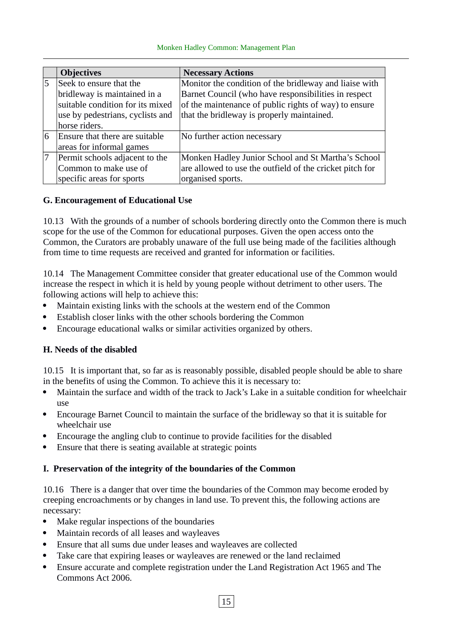|   | <b>Objectives</b>                | <b>Necessary Actions</b>                                 |
|---|----------------------------------|----------------------------------------------------------|
| 5 | Seek to ensure that the          | Monitor the condition of the bridleway and liaise with   |
|   | bridleway is maintained in a     | Barnet Council (who have responsibilities in respect     |
|   | suitable condition for its mixed | of the maintenance of public rights of way) to ensure    |
|   | use by pedestrians, cyclists and | that the bridleway is properly maintained.               |
|   | horse riders.                    |                                                          |
| 6 | Ensure that there are suitable   | No further action necessary                              |
|   | areas for informal games         |                                                          |
|   | Permit schools adjacent to the   | Monken Hadley Junior School and St Martha's School       |
|   | Common to make use of            | are allowed to use the outfield of the cricket pitch for |
|   | specific areas for sports        | organised sports.                                        |

#### **G. Encouragement of Educational Use**

10.13 With the grounds of a number of schools bordering directly onto the Common there is much scope for the use of the Common for educational purposes. Given the open access onto the Common, the Curators are probably unaware of the full use being made of the facilities although from time to time requests are received and granted for information or facilities.

10.14 The Management Committee consider that greater educational use of the Common would increase the respect in which it is held by young people without detriment to other users. The following actions will help to achieve this:

- Maintain existing links with the schools at the western end of the Common
- Establish closer links with the other schools bordering the Common
- Encourage educational walks or similar activities organized by others.

#### **H. Needs of the disabled**

10.15 It is important that, so far as is reasonably possible, disabled people should be able to share in the benefits of using the Common. To achieve this it is necessary to:

- Maintain the surface and width of the track to Jack's Lake in a suitable condition for wheelchair use
- Encourage Barnet Council to maintain the surface of the bridleway so that it is suitable for wheelchair use
- Encourage the angling club to continue to provide facilities for the disabled
- Ensure that there is seating available at strategic points

#### **I. Preservation of the integrity of the boundaries of the Common**

10.16 There is a danger that over time the boundaries of the Common may become eroded by creeping encroachments or by changes in land use. To prevent this, the following actions are necessary:

- Make regular inspections of the boundaries
- Maintain records of all leases and wayleaves
- Ensure that all sums due under leases and wayleaves are collected
- Take care that expiring leases or wayleaves are renewed or the land reclaimed
- Ensure accurate and complete registration under the Land Registration Act 1965 and The Commons Act 2006.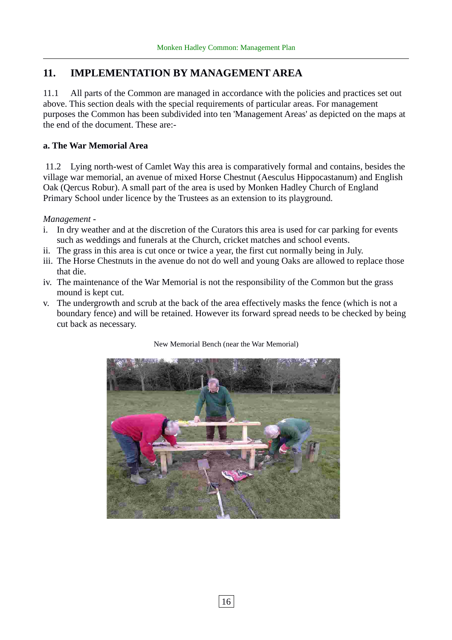# **11. IMPLEMENTATION BY MANAGEMENT AREA**

11.1 All parts of the Common are managed in accordance with the policies and practices set out above. This section deals with the special requirements of particular areas. For management purposes the Common has been subdivided into ten 'Management Areas' as depicted on the maps at the end of the document. These are:-

#### **a. The War Memorial Area**

 11.2 Lying north-west of Camlet Way this area is comparatively formal and contains, besides the village war memorial, an avenue of mixed Horse Chestnut (Aesculus Hippocastanum) and English Oak (Qercus Robur). A small part of the area is used by Monken Hadley Church of England Primary School under licence by the Trustees as an extension to its playground.

*Management -*

- i. In dry weather and at the discretion of the Curators this area is used for car parking for events such as weddings and funerals at the Church, cricket matches and school events.
- ii. The grass in this area is cut once or twice a year, the first cut normally being in July.
- iii. The Horse Chestnuts in the avenue do not do well and young Oaks are allowed to replace those that die.
- iv. The maintenance of the War Memorial is not the responsibility of the Common but the grass mound is kept cut.
- v. The undergrowth and scrub at the back of the area effectively masks the fence (which is not a boundary fence) and will be retained. However its forward spread needs to be checked by being cut back as necessary.



New Memorial Bench (near the War Memorial)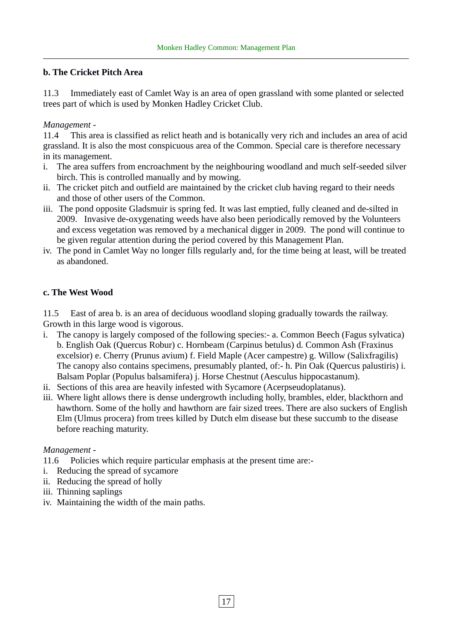#### **b. The Cricket Pitch Area**

11.3 Immediately east of Camlet Way is an area of open grassland with some planted or selected trees part of which is used by Monken Hadley Cricket Club.

#### *Management -*

11.4 This area is classified as relict heath and is botanically very rich and includes an area of acid grassland. It is also the most conspicuous area of the Common. Special care is therefore necessary in its management.

- i. The area suffers from encroachment by the neighbouring woodland and much self-seeded silver birch. This is controlled manually and by mowing.
- ii. The cricket pitch and outfield are maintained by the cricket club having regard to their needs and those of other users of the Common.
- iii. The pond opposite Gladsmuir is spring fed. It was last emptied, fully cleaned and de-silted in 2009. Invasive de-oxygenating weeds have also been periodically removed by the Volunteers and excess vegetation was removed by a mechanical digger in 2009. The pond will continue to be given regular attention during the period covered by this Management Plan.
- iv. The pond in Camlet Way no longer fills regularly and, for the time being at least, will be treated as abandoned.

#### **c. The West Wood**

11.5 East of area b. is an area of deciduous woodland sloping gradually towards the railway. Growth in this large wood is vigorous.

- The canopy is largely composed of the following species:- a. Common Beech (Fagus sylvatica) b. English Oak (Quercus Robur) c. Hornbeam (Carpinus betulus) d. Common Ash (Fraxinus excelsior) e. Cherry (Prunus avium) f. Field Maple (Acer campestre) g. Willow (Salixfragilis) The canopy also contains specimens, presumably planted, of:- h. Pin Oak (Quercus palustiris) i. Balsam Poplar (Populus balsamifera) j. Horse Chestnut (Aesculus hippocastanum).
- ii. Sections of this area are heavily infested with Sycamore (Acerpseudoplatanus).
- iii. Where light allows there is dense undergrowth including holly, brambles, elder, blackthorn and hawthorn. Some of the holly and hawthorn are fair sized trees. There are also suckers of English Elm (Ulmus procera) from trees killed by Dutch elm disease but these succumb to the disease before reaching maturity.

#### *Management -*

- 11.6 Policies which require particular emphasis at the present time are:-
- i. Reducing the spread of sycamore
- ii. Reducing the spread of holly
- iii. Thinning saplings
- iv. Maintaining the width of the main paths.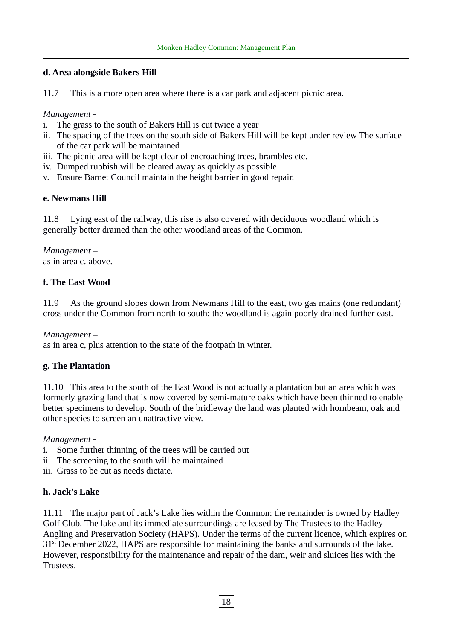#### **d. Area alongside Bakers Hill**

11.7 This is a more open area where there is a car park and adjacent picnic area.

*Management -*

- i. The grass to the south of Bakers Hill is cut twice a year
- ii. The spacing of the trees on the south side of Bakers Hill will be kept under review The surface of the car park will be maintained
- iii. The picnic area will be kept clear of encroaching trees, brambles etc.
- iv. Dumped rubbish will be cleared away as quickly as possible
- v. Ensure Barnet Council maintain the height barrier in good repair.

#### **e. Newmans Hill**

11.8 Lying east of the railway, this rise is also covered with deciduous woodland which is generally better drained than the other woodland areas of the Common.

*Management –*  as in area c. above.

#### **f. The East Wood**

11.9 As the ground slopes down from Newmans Hill to the east, two gas mains (one redundant) cross under the Common from north to south; the woodland is again poorly drained further east.

*Management* –

as in area c, plus attention to the state of the footpath in winter*.*

#### **g. The Plantation**

11.10 This area to the south of the East Wood is not actually a plantation but an area which was formerly grazing land that is now covered by semi-mature oaks which have been thinned to enable better specimens to develop. South of the bridleway the land was planted with hornbeam, oak and other species to screen an unattractive view.

*Management -*

- i. Some further thinning of the trees will be carried out
- ii. The screening to the south will be maintained
- iii. Grass to be cut as needs dictate.

#### **h. Jack's Lake**

11.11 The major part of Jack's Lake lies within the Common: the remainder is owned by Hadley Golf Club. The lake and its immediate surroundings are leased by The Trustees to the Hadley Angling and Preservation Society (HAPS). Under the terms of the current licence, which expires on 31<sup>st</sup> December 2022, HAPS are responsible for maintaining the banks and surrounds of the lake. However, responsibility for the maintenance and repair of the dam, weir and sluices lies with the Trustees.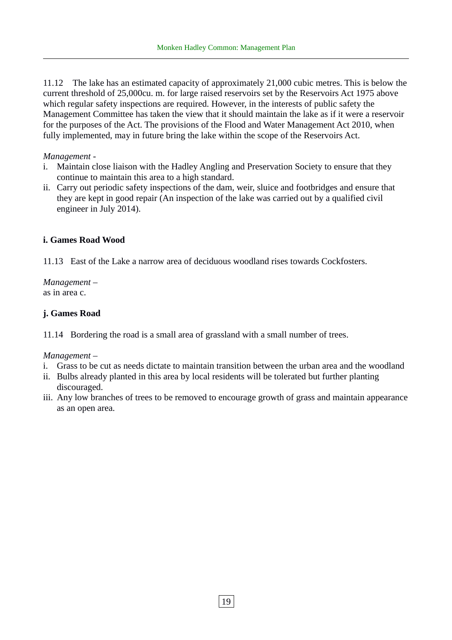11.12 The lake has an estimated capacity of approximately 21,000 cubic metres. This is below the current threshold of 25,000cu. m. for large raised reservoirs set by the Reservoirs Act 1975 above which regular safety inspections are required. However, in the interests of public safety the Management Committee has taken the view that it should maintain the lake as if it were a reservoir for the purposes of the Act. The provisions of the Flood and Water Management Act 2010, when fully implemented, may in future bring the lake within the scope of the Reservoirs Act.

#### *Management -*

- i. Maintain close liaison with the Hadley Angling and Preservation Society to ensure that they continue to maintain this area to a high standard.
- ii. Carry out periodic safety inspections of the dam, weir, sluice and footbridges and ensure that they are kept in good repair (An inspection of the lake was carried out by a qualified civil engineer in July 2014).

#### **i. Games Road Wood**

11.13 East of the Lake a narrow area of deciduous woodland rises towards Cockfosters.

*Management –*  as in area c.

#### **j. Games Road**

11.14 Bordering the road is a small area of grassland with a small number of trees.

#### *Management –*

- i. Grass to be cut as needs dictate to maintain transition between the urban area and the woodland
- ii. Bulbs already planted in this area by local residents will be tolerated but further planting discouraged.
- iii. Any low branches of trees to be removed to encourage growth of grass and maintain appearance as an open area.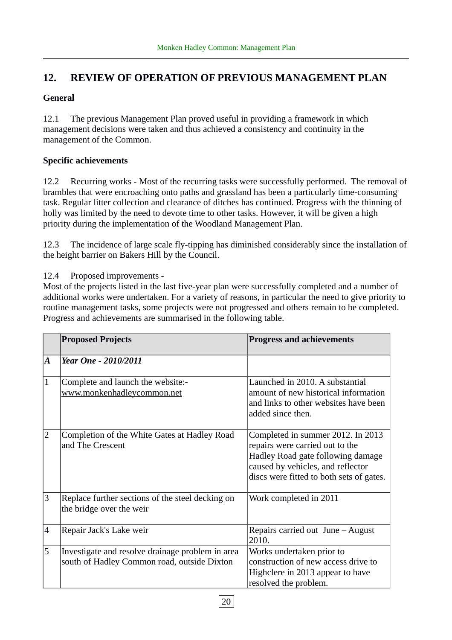# **12. REVIEW OF OPERATION OF PREVIOUS MANAGEMENT PLAN**

#### **General**

12.1 The previous Management Plan proved useful in providing a framework in which management decisions were taken and thus achieved a consistency and continuity in the management of the Common.

#### **Specific achievements**

12.2 Recurring works - Most of the recurring tasks were successfully performed. The removal of brambles that were encroaching onto paths and grassland has been a particularly time-consuming task. Regular litter collection and clearance of ditches has continued. Progress with the thinning of holly was limited by the need to devote time to other tasks. However, it will be given a high priority during the implementation of the Woodland Management Plan.

12.3 The incidence of large scale fly-tipping has diminished considerably since the installation of the height barrier on Bakers Hill by the Council.

12.4 Proposed improvements -

Most of the projects listed in the last five-year plan were successfully completed and a number of additional works were undertaken. For a variety of reasons, in particular the need to give priority to routine management tasks, some projects were not progressed and others remain to be completed. Progress and achievements are summarised in the following table.

|                | <b>Proposed Projects</b>                                                                        | <b>Progress and achievements</b>                                                                                                                                                           |
|----------------|-------------------------------------------------------------------------------------------------|--------------------------------------------------------------------------------------------------------------------------------------------------------------------------------------------|
| A              | <b>Year One - 2010/2011</b>                                                                     |                                                                                                                                                                                            |
| $\mathbf{1}$   | Complete and launch the website:-<br>www.monkenhadleycommon.net                                 | Launched in 2010. A substantial<br>amount of new historical information<br>and links to other websites have been<br>added since then.                                                      |
| $\overline{2}$ | Completion of the White Gates at Hadley Road<br>and The Crescent                                | Completed in summer 2012. In 2013<br>repairs were carried out to the<br>Hadley Road gate following damage<br>caused by vehicles, and reflector<br>discs were fitted to both sets of gates. |
| 3              | Replace further sections of the steel decking on<br>the bridge over the weir                    | Work completed in 2011                                                                                                                                                                     |
| 4              | Repair Jack's Lake weir                                                                         | Repairs carried out $June - August$<br>2010.                                                                                                                                               |
| 5              | Investigate and resolve drainage problem in area<br>south of Hadley Common road, outside Dixton | Works undertaken prior to<br>construction of new access drive to<br>Highclere in 2013 appear to have<br>resolved the problem.                                                              |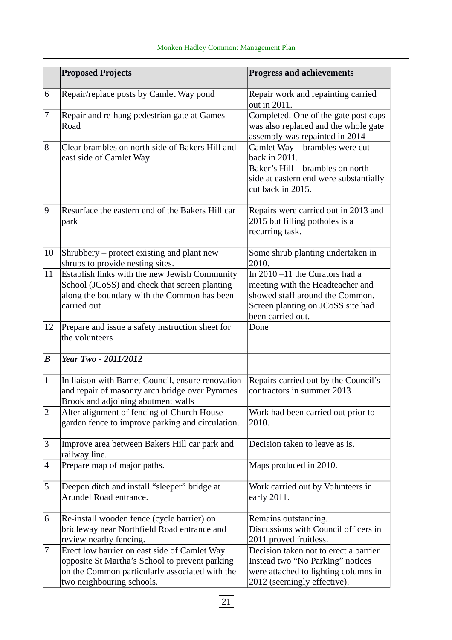|                  | <b>Proposed Projects</b>                                                                                                                                                      | <b>Progress and achievements</b>                                                                                                                                |
|------------------|-------------------------------------------------------------------------------------------------------------------------------------------------------------------------------|-----------------------------------------------------------------------------------------------------------------------------------------------------------------|
| 6                | Repair/replace posts by Camlet Way pond                                                                                                                                       | Repair work and repainting carried<br>out in 2011.                                                                                                              |
| 7                | Repair and re-hang pedestrian gate at Games<br>Road                                                                                                                           | Completed. One of the gate post caps<br>was also replaced and the whole gate<br>assembly was repainted in 2014                                                  |
| 8                | Clear brambles on north side of Bakers Hill and<br>east side of Camlet Way                                                                                                    | Camlet Way – brambles were cut<br>back in 2011.<br>Baker's Hill - brambles on north<br>side at eastern end were substantially<br>cut back in 2015.              |
| 9                | Resurface the eastern end of the Bakers Hill car<br>park                                                                                                                      | Repairs were carried out in 2013 and<br>2015 but filling potholes is a<br>recurring task.                                                                       |
| 10               | Shrubbery – protect existing and plant new<br>shrubs to provide nesting sites.                                                                                                | Some shrub planting undertaken in<br>2010.                                                                                                                      |
| 11               | Establish links with the new Jewish Community<br>School (JCoSS) and check that screen planting<br>along the boundary with the Common has been<br>carried out                  | In 2010 -11 the Curators had a<br>meeting with the Headteacher and<br>showed staff around the Common.<br>Screen planting on JCoSS site had<br>been carried out. |
| 12               | Prepare and issue a safety instruction sheet for<br>the volunteers                                                                                                            | Done                                                                                                                                                            |
| $\boldsymbol{B}$ | Year Two - 2011/2012                                                                                                                                                          |                                                                                                                                                                 |
| $\mathbf{1}$     | In liaison with Barnet Council, ensure renovation<br>and repair of masonry arch bridge over Pymmes<br>Brook and adjoining abutment walls                                      | Repairs carried out by the Council's<br>contractors in summer 2013                                                                                              |
| $\overline{2}$   | Alter alignment of fencing of Church House<br>garden fence to improve parking and circulation.                                                                                | Work had been carried out prior to<br>2010.                                                                                                                     |
| 3                | Improve area between Bakers Hill car park and<br>railway line.                                                                                                                | Decision taken to leave as is.                                                                                                                                  |
| 4                | Prepare map of major paths.                                                                                                                                                   | Maps produced in 2010.                                                                                                                                          |
| 5                | Deepen ditch and install "sleeper" bridge at<br>Arundel Road entrance.                                                                                                        | Work carried out by Volunteers in<br>early 2011.                                                                                                                |
| 6                | Re-install wooden fence (cycle barrier) on<br>bridleway near Northfield Road entrance and<br>review nearby fencing.                                                           | Remains outstanding.<br>Discussions with Council officers in<br>2011 proved fruitless.                                                                          |
| 7                | Erect low barrier on east side of Camlet Way<br>opposite St Martha's School to prevent parking<br>on the Common particularly associated with the<br>two neighbouring schools. | Decision taken not to erect a barrier.<br>Instead two "No Parking" notices<br>were attached to lighting columns in<br>2012 (seemingly effective).               |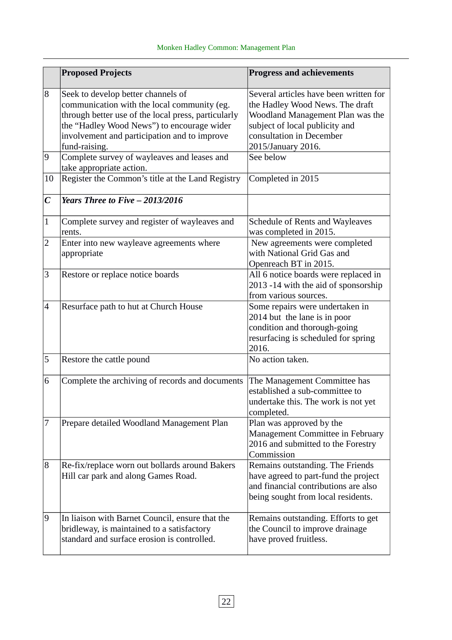|                  | <b>Proposed Projects</b>                                                                                                                                                                                                                                | <b>Progress and achievements</b>                                                                                                                                                                  |
|------------------|---------------------------------------------------------------------------------------------------------------------------------------------------------------------------------------------------------------------------------------------------------|---------------------------------------------------------------------------------------------------------------------------------------------------------------------------------------------------|
| 8                | Seek to develop better channels of<br>communication with the local community (eg.<br>through better use of the local press, particularly<br>the "Hadley Wood News") to encourage wider<br>involvement and participation and to improve<br>fund-raising. | Several articles have been written for<br>the Hadley Wood News. The draft<br>Woodland Management Plan was the<br>subject of local publicity and<br>consultation in December<br>2015/January 2016. |
| 9                | Complete survey of wayleaves and leases and<br>take appropriate action.                                                                                                                                                                                 | See below                                                                                                                                                                                         |
| 10               | Register the Common's title at the Land Registry                                                                                                                                                                                                        | Completed in 2015                                                                                                                                                                                 |
| $\boldsymbol{C}$ | Years Three to Five $-2013/2016$                                                                                                                                                                                                                        |                                                                                                                                                                                                   |
| $\mathbf{1}$     | Complete survey and register of wayleaves and<br>rents.                                                                                                                                                                                                 | <b>Schedule of Rents and Wayleaves</b><br>was completed in 2015.                                                                                                                                  |
| $\overline{2}$   | Enter into new wayleave agreements where<br>appropriate                                                                                                                                                                                                 | New agreements were completed<br>with National Grid Gas and<br>Openreach BT in 2015.                                                                                                              |
| 3                | Restore or replace notice boards                                                                                                                                                                                                                        | All 6 notice boards were replaced in<br>2013 -14 with the aid of sponsorship<br>from various sources.                                                                                             |
| $\overline{4}$   | Resurface path to hut at Church House                                                                                                                                                                                                                   | Some repairs were undertaken in<br>2014 but the lane is in poor<br>condition and thorough-going<br>resurfacing is scheduled for spring<br>2016.                                                   |
| 5                | Restore the cattle pound                                                                                                                                                                                                                                | No action taken.                                                                                                                                                                                  |
| 6                | Complete the archiving of records and documents                                                                                                                                                                                                         | The Management Committee has<br>established a sub-committee to<br>undertake this. The work is not yet<br>completed.                                                                               |
| 7                | Prepare detailed Woodland Management Plan                                                                                                                                                                                                               | Plan was approved by the<br>Management Committee in February<br>2016 and submitted to the Forestry<br>Commission                                                                                  |
| 8                | Re-fix/replace worn out bollards around Bakers<br>Hill car park and along Games Road.                                                                                                                                                                   | Remains outstanding. The Friends<br>have agreed to part-fund the project<br>and financial contributions are also<br>being sought from local residents.                                            |
| 9                | In liaison with Barnet Council, ensure that the<br>bridleway, is maintained to a satisfactory<br>standard and surface erosion is controlled.                                                                                                            | Remains outstanding. Efforts to get<br>the Council to improve drainage<br>have proved fruitless.                                                                                                  |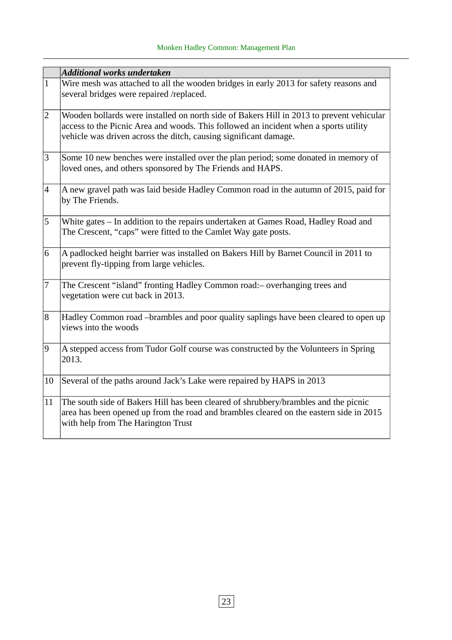|                 | <b>Additional works undertaken</b>                                                                                                                                                                                                                   |
|-----------------|------------------------------------------------------------------------------------------------------------------------------------------------------------------------------------------------------------------------------------------------------|
| $ 1\rangle$     | Wire mesh was attached to all the wooden bridges in early 2013 for safety reasons and<br>several bridges were repaired /replaced.                                                                                                                    |
| 2               | Wooden bollards were installed on north side of Bakers Hill in 2013 to prevent vehicular<br>access to the Picnic Area and woods. This followed an incident when a sports utility<br>vehicle was driven across the ditch, causing significant damage. |
| 3               | Some 10 new benches were installed over the plan period; some donated in memory of<br>loved ones, and others sponsored by The Friends and HAPS.                                                                                                      |
| $\vert 4 \vert$ | $\vert$ A new gravel path was laid beside Hadley Common road in the autumn of 2015, paid for<br>by The Friends.                                                                                                                                      |
| 5               | White gates - In addition to the repairs undertaken at Games Road, Hadley Road and<br>The Crescent, "caps" were fitted to the Camlet Way gate posts.                                                                                                 |
| 6               | A padlocked height barrier was installed on Bakers Hill by Barnet Council in 2011 to<br>prevent fly-tipping from large vehicles.                                                                                                                     |
| $\overline{7}$  | The Crescent "island" fronting Hadley Common road: - overhanging trees and<br>vegetation were cut back in 2013.                                                                                                                                      |
| 8               | Hadley Common road -brambles and poor quality saplings have been cleared to open up<br>views into the woods                                                                                                                                          |
| 19              | A stepped access from Tudor Golf course was constructed by the Volunteers in Spring<br>2013.                                                                                                                                                         |
| 10              | Several of the paths around Jack's Lake were repaired by HAPS in 2013                                                                                                                                                                                |
| 11              | The south side of Bakers Hill has been cleared of shrubbery/brambles and the picnic<br>area has been opened up from the road and brambles cleared on the eastern side in 2015<br>with help from The Harington Trust                                  |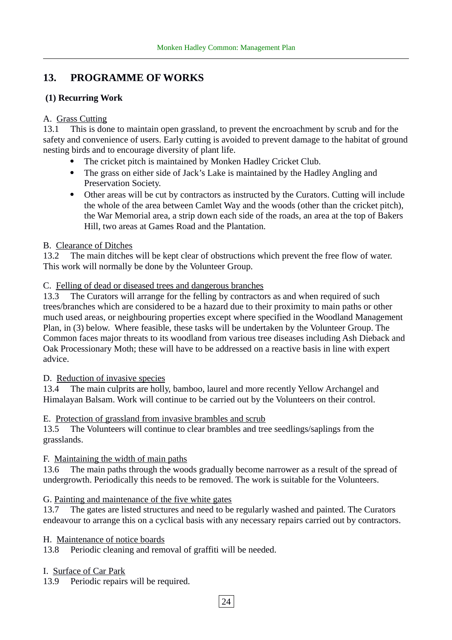# **13. PROGRAMME OF WORKS**

#### **(1) Recurring Work**

#### A. Grass Cutting

13.1 This is done to maintain open grassland, to prevent the encroachment by scrub and for the safety and convenience of users. Early cutting is avoided to prevent damage to the habitat of ground nesting birds and to encourage diversity of plant life.

- The cricket pitch is maintained by Monken Hadley Cricket Club.
- The grass on either side of Jack's Lake is maintained by the Hadley Angling and Preservation Society.
- Other areas will be cut by contractors as instructed by the Curators. Cutting will include the whole of the area between Camlet Way and the woods (other than the cricket pitch), the War Memorial area, a strip down each side of the roads, an area at the top of Bakers Hill, two areas at Games Road and the Plantation.

#### B. Clearance of Ditches

13.2 The main ditches will be kept clear of obstructions which prevent the free flow of water. This work will normally be done by the Volunteer Group.

#### C. Felling of dead or diseased trees and dangerous branches

13.3 The Curators will arrange for the felling by contractors as and when required of such trees/branches which are considered to be a hazard due to their proximity to main paths or other much used areas, or neighbouring properties except where specified in the Woodland Management Plan, in (3) below. Where feasible, these tasks will be undertaken by the Volunteer Group. The Common faces major threats to its woodland from various tree diseases including Ash Dieback and Oak Processionary Moth; these will have to be addressed on a reactive basis in line with expert advice.

#### D. Reduction of invasive species

13.4 The main culprits are holly, bamboo, laurel and more recently Yellow Archangel and Himalayan Balsam. Work will continue to be carried out by the Volunteers on their control.

#### E. Protection of grassland from invasive brambles and scrub

13.5 The Volunteers will continue to clear brambles and tree seedlings/saplings from the grasslands.

#### F. Maintaining the width of main paths

13.6 The main paths through the woods gradually become narrower as a result of the spread of undergrowth. Periodically this needs to be removed. The work is suitable for the Volunteers.

#### G. Painting and maintenance of the five white gates

13.7 The gates are listed structures and need to be regularly washed and painted. The Curators endeavour to arrange this on a cyclical basis with any necessary repairs carried out by contractors.

#### H. Maintenance of notice boards

13.8 Periodic cleaning and removal of graffiti will be needed.

I. Surface of Car Park

13.9 Periodic repairs will be required.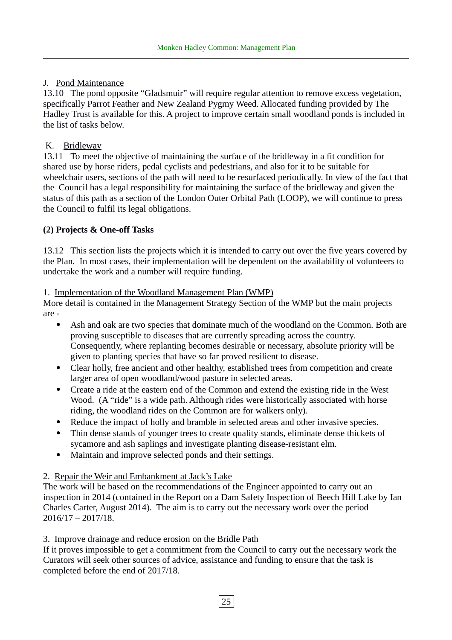#### J. Pond Maintenance

13.10 The pond opposite "Gladsmuir" will require regular attention to remove excess vegetation, specifically Parrot Feather and New Zealand Pygmy Weed. Allocated funding provided by The Hadley Trust is available for this. A project to improve certain small woodland ponds is included in the list of tasks below.

#### K. Bridleway

13.11 To meet the objective of maintaining the surface of the bridleway in a fit condition for shared use by horse riders, pedal cyclists and pedestrians, and also for it to be suitable for wheelchair users, sections of the path will need to be resurfaced periodically. In view of the fact that the Council has a legal responsibility for maintaining the surface of the bridleway and given the status of this path as a section of the London Outer Orbital Path (LOOP), we will continue to press the Council to fulfil its legal obligations.

#### **(2) Projects & One-off Tasks**

13.12 This section lists the projects which it is intended to carry out over the five years covered by the Plan. In most cases, their implementation will be dependent on the availability of volunteers to undertake the work and a number will require funding.

#### 1. Implementation of the Woodland Management Plan (WMP)

More detail is contained in the Management Strategy Section of the WMP but the main projects are -

- Ash and oak are two species that dominate much of the woodland on the Common. Both are proving susceptible to diseases that are currently spreading across the country. Consequently, where replanting becomes desirable or necessary, absolute priority will be given to planting species that have so far proved resilient to disease.
- Clear holly, free ancient and other healthy, established trees from competition and create larger area of open woodland/wood pasture in selected areas.
- Create a ride at the eastern end of the Common and extend the existing ride in the West Wood. (A "ride" is a wide path. Although rides were historically associated with horse riding, the woodland rides on the Common are for walkers only).
- Reduce the impact of holly and bramble in selected areas and other invasive species.
- Thin dense stands of younger trees to create quality stands, eliminate dense thickets of sycamore and ash saplings and investigate planting disease-resistant elm.
- Maintain and improve selected ponds and their settings.

#### 2. Repair the Weir and Embankment at Jack's Lake

The work will be based on the recommendations of the Engineer appointed to carry out an inspection in 2014 (contained in the Report on a Dam Safety Inspection of Beech Hill Lake by Ian Charles Carter, August 2014). The aim is to carry out the necessary work over the period 2016/17 – 2017/18.

#### 3. Improve drainage and reduce erosion on the Bridle Path

If it proves impossible to get a commitment from the Council to carry out the necessary work the Curators will seek other sources of advice, assistance and funding to ensure that the task is completed before the end of 2017/18.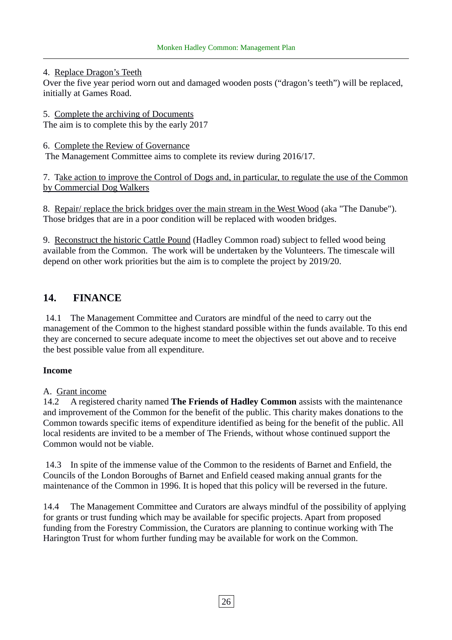#### 4. Replace Dragon's Teeth

Over the five year period worn out and damaged wooden posts ("dragon's teeth") will be replaced, initially at Games Road.

- 5. Complete the archiving of Documents The aim is to complete this by the early 2017
- 6. Complete the Review of Governance

The Management Committee aims to complete its review during 2016/17.

7. Take action to improve the Control of Dogs and, in particular, to regulate the use of the Common by Commercial Dog Walkers

8. Repair/ replace the brick bridges over the main stream in the West Wood (aka "The Danube"). Those bridges that are in a poor condition will be replaced with wooden bridges.

9. Reconstruct the historic Cattle Pound (Hadley Common road) subject to felled wood being available from the Common. The work will be undertaken by the Volunteers. The timescale will depend on other work priorities but the aim is to complete the project by 2019/20.

#### **14. FINANCE**

 14.1 The Management Committee and Curators are mindful of the need to carry out the management of the Common to the highest standard possible within the funds available. To this end they are concerned to secure adequate income to meet the objectives set out above and to receive the best possible value from all expenditure.

#### **Income**

#### A. Grant income

14.2 A registered charity named **The Friends of Hadley Common** assists with the maintenance and improvement of the Common for the benefit of the public. This charity makes donations to the Common towards specific items of expenditure identified as being for the benefit of the public. All local residents are invited to be a member of The Friends, without whose continued support the Common would not be viable.

 14.3 In spite of the immense value of the Common to the residents of Barnet and Enfield, the Councils of the London Boroughs of Barnet and Enfield ceased making annual grants for the maintenance of the Common in 1996. It is hoped that this policy will be reversed in the future.

14.4 The Management Committee and Curators are always mindful of the possibility of applying for grants or trust funding which may be available for specific projects. Apart from proposed funding from the Forestry Commission, the Curators are planning to continue working with The Harington Trust for whom further funding may be available for work on the Common.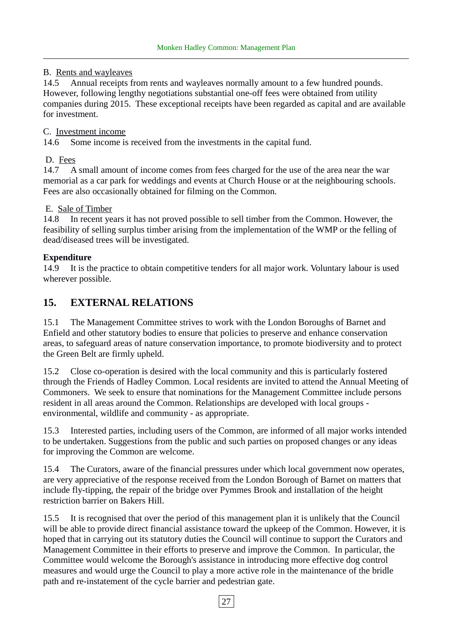#### B. Rents and wayleaves

14.5 Annual receipts from rents and wayleaves normally amount to a few hundred pounds. However, following lengthy negotiations substantial one-off fees were obtained from utility companies during 2015. These exceptional receipts have been regarded as capital and are available for investment.

#### C. Investment income

14.6 Some income is received from the investments in the capital fund.

#### D. Fees

14.7 A small amount of income comes from fees charged for the use of the area near the war memorial as a car park for weddings and events at Church House or at the neighbouring schools. Fees are also occasionally obtained for filming on the Common.

#### E. Sale of Timber

14.8 In recent years it has not proved possible to sell timber from the Common. However, the feasibility of selling surplus timber arising from the implementation of the WMP or the felling of dead/diseased trees will be investigated.

#### **Expenditure**

14.9 It is the practice to obtain competitive tenders for all major work. Voluntary labour is used wherever possible.

#### **15. EXTERNAL RELATIONS**

15.1 The Management Committee strives to work with the London Boroughs of Barnet and Enfield and other statutory bodies to ensure that policies to preserve and enhance conservation areas, to safeguard areas of nature conservation importance, to promote biodiversity and to protect the Green Belt are firmly upheld.

15.2 Close co-operation is desired with the local community and this is particularly fostered through the Friends of Hadley Common. Local residents are invited to attend the Annual Meeting of Commoners. We seek to ensure that nominations for the Management Committee include persons resident in all areas around the Common. Relationships are developed with local groups environmental, wildlife and community - as appropriate.

15.3 Interested parties, including users of the Common, are informed of all major works intended to be undertaken. Suggestions from the public and such parties on proposed changes or any ideas for improving the Common are welcome.

15.4 The Curators, aware of the financial pressures under which local government now operates, are very appreciative of the response received from the London Borough of Barnet on matters that include fly-tipping, the repair of the bridge over Pymmes Brook and installation of the height restriction barrier on Bakers Hill.

15.5 It is recognised that over the period of this management plan it is unlikely that the Council will be able to provide direct financial assistance toward the upkeep of the Common. However, it is hoped that in carrying out its statutory duties the Council will continue to support the Curators and Management Committee in their efforts to preserve and improve the Common. In particular, the Committee would welcome the Borough's assistance in introducing more effective dog control measures and would urge the Council to play a more active role in the maintenance of the bridle path and re-instatement of the cycle barrier and pedestrian gate.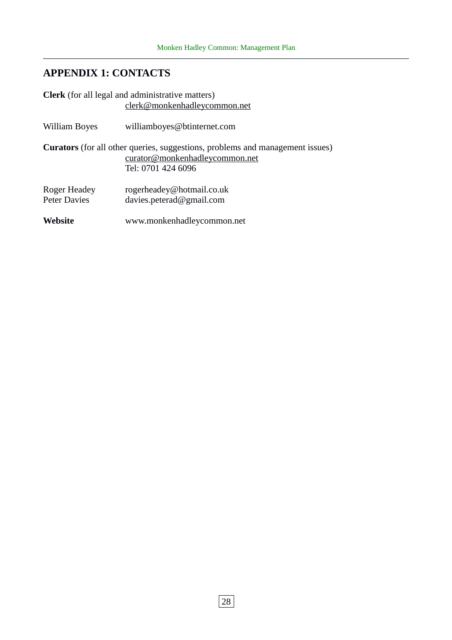# **APPENDIX 1: CONTACTS**

|                                     | <b>Clerk</b> (for all legal and administrative matters)<br>clerk@monkenhadleycommon.net                                                      |
|-------------------------------------|----------------------------------------------------------------------------------------------------------------------------------------------|
| William Boyes                       | williamboyes@btinternet.com                                                                                                                  |
|                                     | <b>Curators</b> (for all other queries, suggestions, problems and management issues)<br>curator@monkenhadleycommon.net<br>Tel: 0701 424 6096 |
| Roger Headey<br><b>Peter Davies</b> | rogerheadey@hotmail.co.uk<br>davies.peterad@gmail.com                                                                                        |
| <b>Website</b>                      | www.monkenhadleycommon.net                                                                                                                   |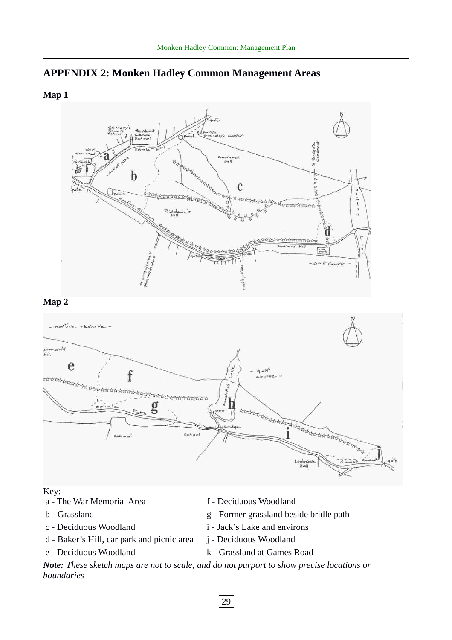

#### **Map 1**



#### **Map 2**



#### Key:

- a The War Memorial Area f Deciduous Woodland
- 
- 
- d Baker's Hill, car park and picnic area j Deciduous Woodland
- 
- 
- b Grassland g Former grassland beside bridle path
- c Deciduous Woodland i Jack's Lake and environs
	-
- e Deciduous Woodland k Grassland at Games Road

*Note: These sketch maps are not to scale, and do not purport to show precise locations or boundaries*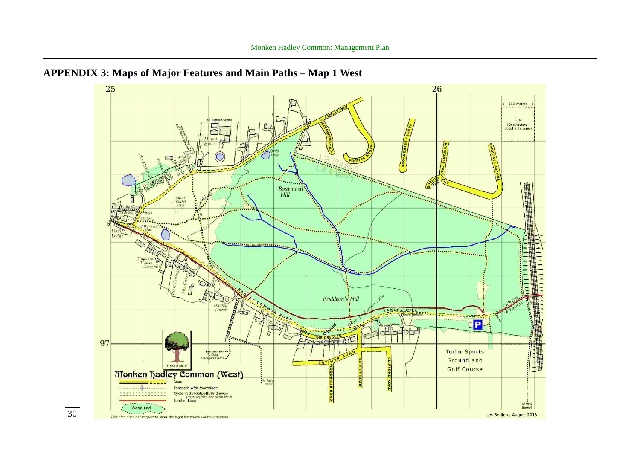

# **APPENDIX 3: Maps of Major Features and Main Paths – Map 1 West**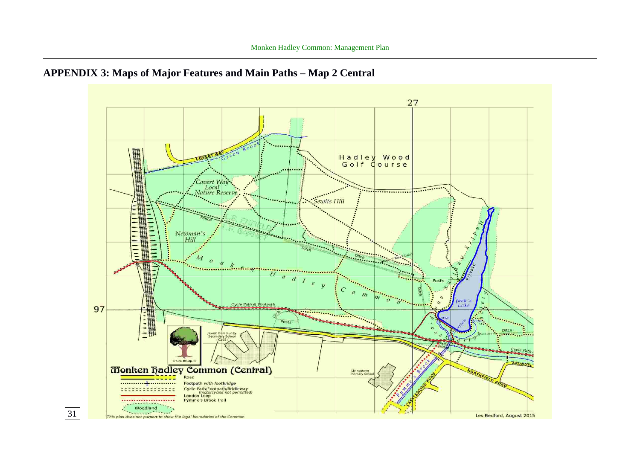

# **APPENDIX 3: Maps of Major Features and Main Paths – Map 2 Central**